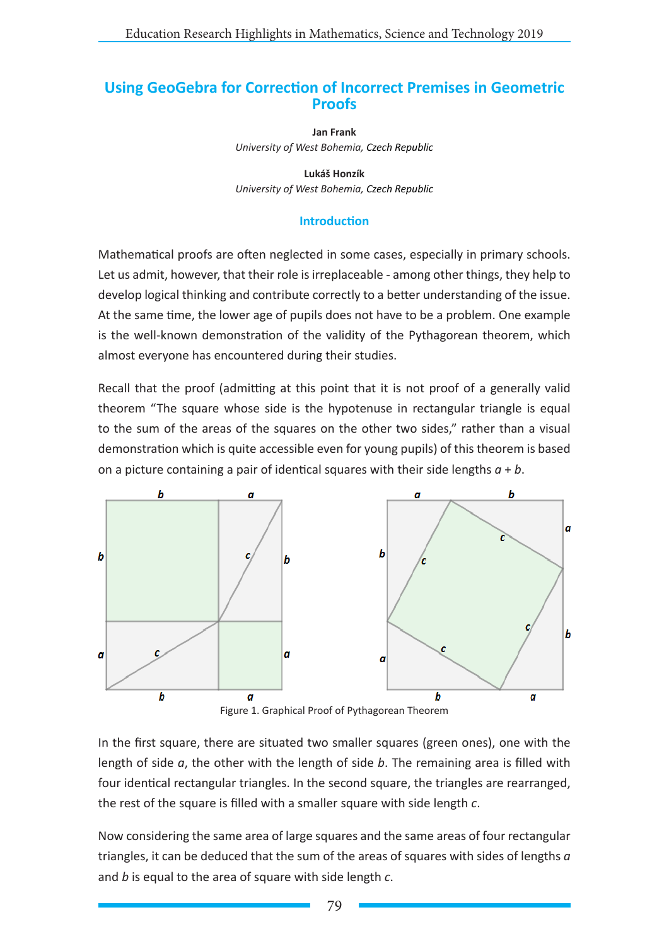# **Using GeoGebra for Correction of Incorrect Premises in Geometric Proofs**

**Jan Frank** *University of West Bohemia, Czech Republic*

**Lukáš Honzík** *University of West Bohemia, Czech Republic*

#### **Introduction**

Mathematical proofs are often neglected in some cases, especially in primary schools. Let us admit, however, that their role is irreplaceable - among other things, they help to develop logical thinking and contribute correctly to a better understanding of the issue. At the same time, the lower age of pupils does not have to be a problem. One example is the well-known demonstration of the validity of the Pythagorean theorem, which almost everyone has encountered during their studies.

Recall that the proof (admitting at this point that it is not proof of a generally valid theorem "The square whose side is the hypotenuse in rectangular triangle is equal to the sum of the areas of the squares on the other two sides." rather than a visual demonstration which is quite accessible even for young pupils) of this theorem is based on a picture containing a pair of identical squares with their side lengths *a* + *b*.



Figure 1. Graphical Proof of Pythagorean Theorem

In the first square, there are situated two smaller squares (green ones), one with the length of side *a*, the other with the length of side *b*. The remaining area is filled with four identical rectangular triangles. In the second square, the triangles are rearranged, the rest of the square is filled with a smaller square with side length *c*.

Now considering the same area of large squares and the same areas of four rectangular triangles, it can be deduced that the sum of the areas of squares with sides of lengths *a* and *b* is equal to the area of square with side length *c*.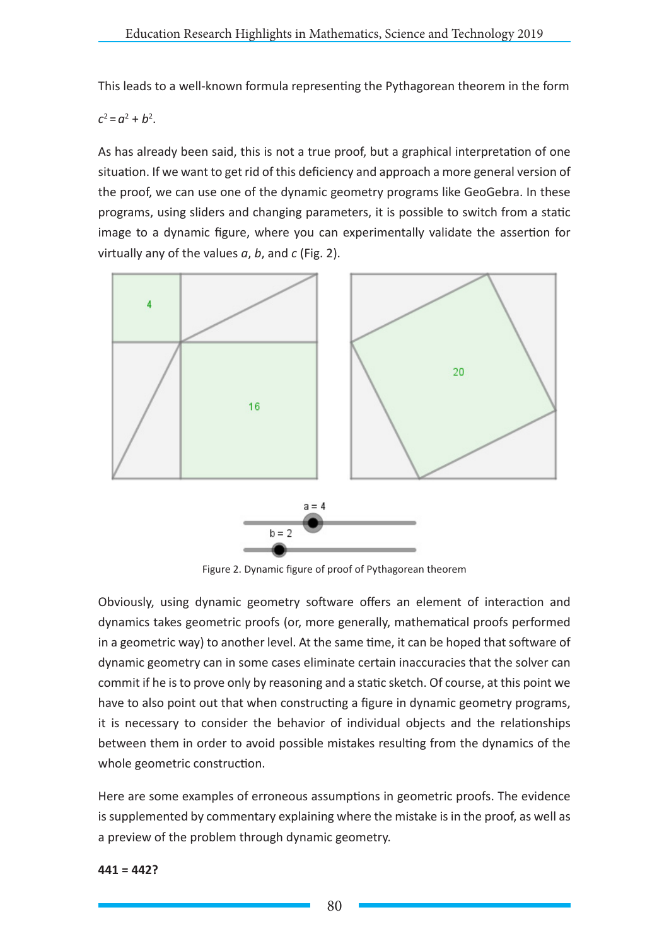This leads to a well-known formula representing the Pythagorean theorem in the form

 $c^2 = a^2 + b^2$ .

As has already been said, this is not a true proof, but a graphical interpretation of one situation. If we want to get rid of this deficiency and approach a more general version of the proof, we can use one of the dynamic geometry programs like GeoGebra. In these programs, using sliders and changing parameters, it is possible to switch from a static image to a dynamic figure, where you can experimentally validate the assertion for virtually any of the values *a*, *b*, and *c* (Fig. 2).



Figure 2. Dynamic figure of proof of Pythagorean theorem

Obviously, using dynamic geometry software offers an element of interaction and dynamics takes geometric proofs (or, more generally, mathematical proofs performed in a geometric way) to another level. At the same time, it can be hoped that software of dynamic geometry can in some cases eliminate certain inaccuracies that the solver can commit if he is to prove only by reasoning and a static sketch. Of course, at this point we have to also point out that when constructing a figure in dynamic geometry programs, it is necessary to consider the behavior of individual objects and the relationships between them in order to avoid possible mistakes resulting from the dynamics of the whole geometric construction.

Here are some examples of erroneous assumptions in geometric proofs. The evidence is supplemented by commentary explaining where the mistake is in the proof, as well as a preview of the problem through dynamic geometry.

**441 = 442?**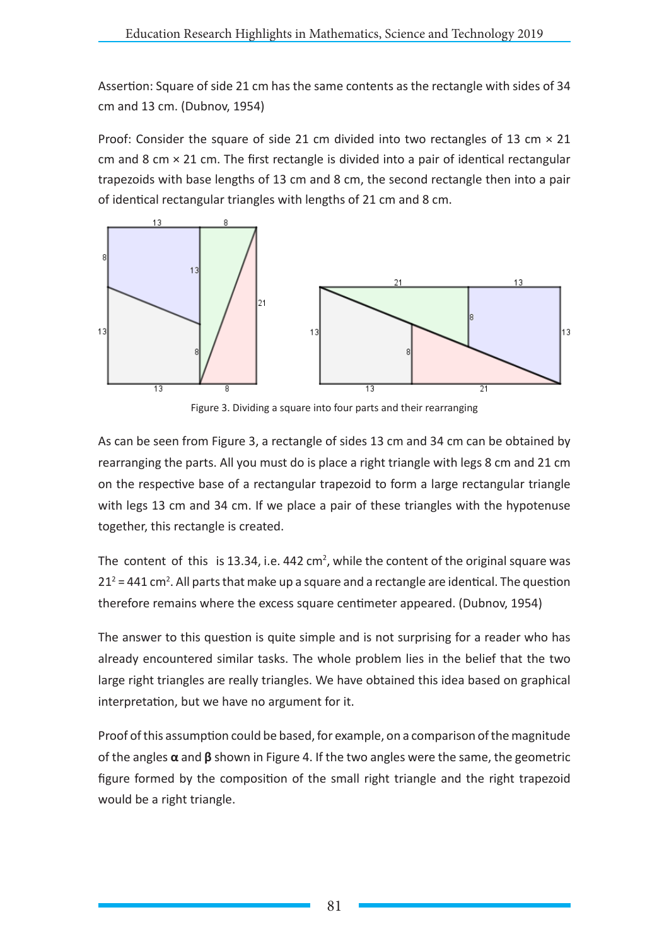Assertion: Square of side 21 cm has the same contents as the rectangle with sides of 34 cm and 13 cm. (Dubnov, 1954)

Proof: Consider the square of side 21 cm divided into two rectangles of 13 cm  $\times$  21 cm and 8 cm  $\times$  21 cm. The first rectangle is divided into a pair of identical rectangular trapezoids with base lengths of 13 cm and 8 cm, the second rectangle then into a pair of identical rectangular triangles with lengths of 21 cm and 8 cm.



Figure 3. Dividing a square into four parts and their rearranging

As can be seen from Figure 3, a rectangle of sides 13 cm and 34 cm can be obtained by rearranging the parts. All you must do is place a right triangle with legs 8 cm and 21 cm on the respective base of a rectangular trapezoid to form a large rectangular triangle with legs 13 cm and 34 cm. If we place a pair of these triangles with the hypotenuse together, this rectangle is created.

The content of this is 13.34, i.e. 442 cm<sup>2</sup>, while the content of the original square was  $21^2$  = 441 cm<sup>2</sup>. All parts that make up a square and a rectangle are identical. The question therefore remains where the excess square centimeter appeared. (Dubnov, 1954)

The answer to this question is quite simple and is not surprising for a reader who has already encountered similar tasks. The whole problem lies in the belief that the two large right triangles are really triangles. We have obtained this idea based on graphical interpretation, but we have no argument for it.

Proof of this assumption could be based, for example, on a comparison of the magnitude of the angles **α** and **β** shown in Figure 4. If the two angles were the same, the geometric figure formed by the composition of the small right triangle and the right trapezoid would be a right triangle.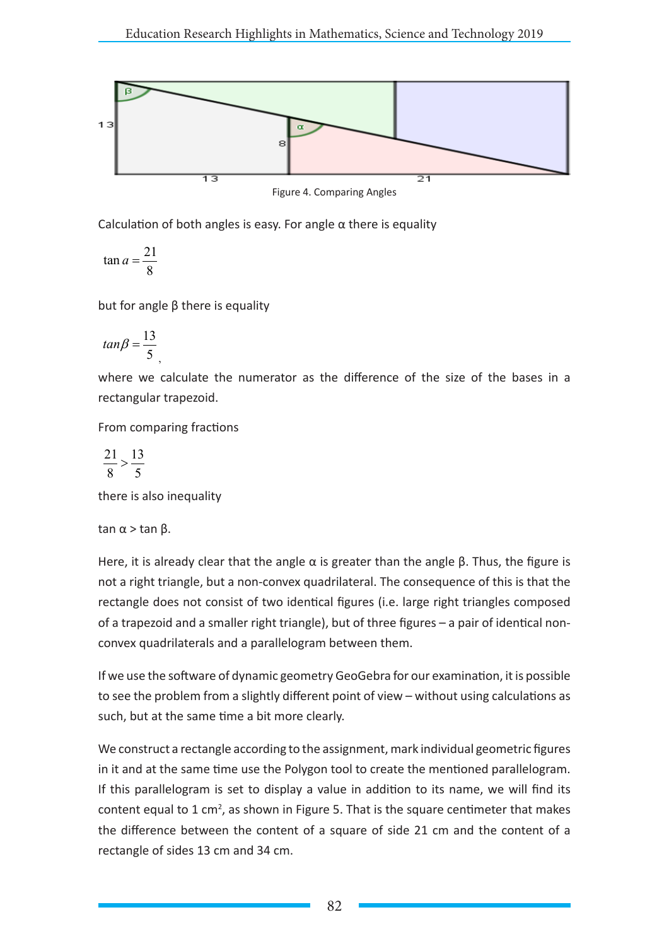

Figure 4. Comparing Angles

Calculation of both angles is easy. For angle  $\alpha$  there is equality

$$
\tan a = \frac{21}{8}
$$

but for angle β there is equality

$$
tan \beta = \frac{13}{5}
$$

where we calculate the numerator as the difference of the size of the bases in a rectangular trapezoid.

From comparing fractions

$$
\frac{21}{8} > \frac{13}{5}
$$

there is also inequality

tan  $α$  > tan  $β$ .

Here, it is already clear that the angle  $\alpha$  is greater than the angle  $\beta$ . Thus, the figure is not a right triangle, but a non-convex quadrilateral. The consequence of this is that the rectangle does not consist of two identical figures (i.e. large right triangles composed of a trapezoid and a smaller right triangle), but of three figures – a pair of identical nonconvex quadrilaterals and a parallelogram between them.

If we use the software of dynamic geometry GeoGebra for our examination, it is possible to see the problem from a slightly different point of view – without using calculations as such, but at the same time a bit more clearly.

We construct a rectangle according to the assignment, mark individual geometric figures in it and at the same time use the Polygon tool to create the mentioned parallelogram. If this parallelogram is set to display a value in addition to its name, we will find its content equal to 1 cm<sup>2</sup>, as shown in Figure 5. That is the square centimeter that makes the difference between the content of a square of side 21 cm and the content of a rectangle of sides 13 cm and 34 cm.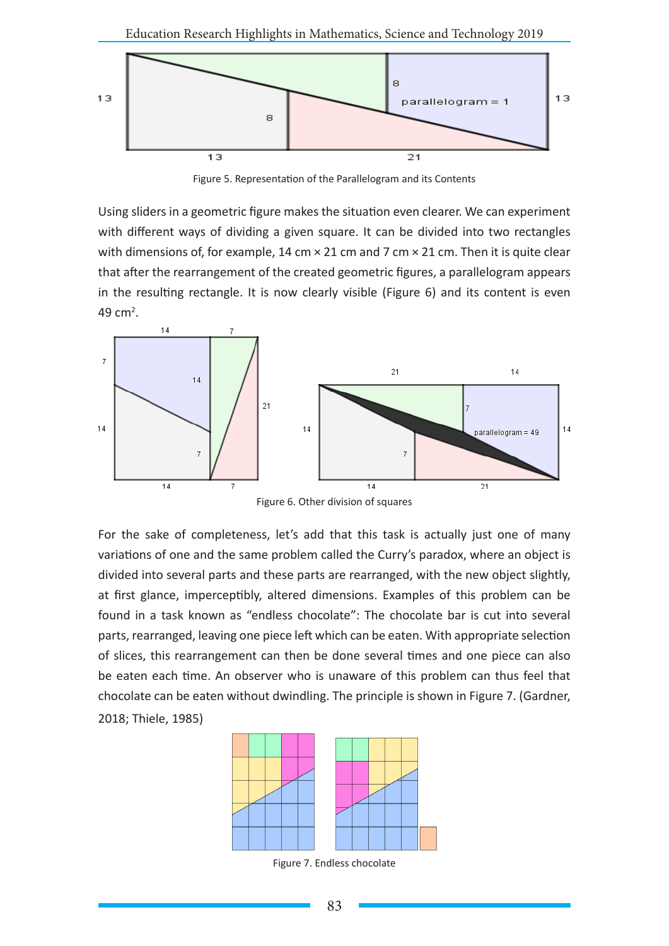

Figure 5. Representation of the Parallelogram and its Contents

Using sliders in a geometric figure makes the situation even clearer. We can experiment with different ways of dividing a given square. It can be divided into two rectangles with dimensions of, for example, 14 cm  $\times$  21 cm and 7 cm  $\times$  21 cm. Then it is quite clear that after the rearrangement of the created geometric figures, a parallelogram appears in the resulting rectangle. It is now clearly visible (Figure 6) and its content is even 49 cm<sup>2</sup>.



Figure 6. Other division of squares

For the sake of completeness, let's add that this task is actually just one of many variations of one and the same problem called the Curry's paradox, where an object is divided into several parts and these parts are rearranged, with the new object slightly, at first glance, imperceptibly, altered dimensions. Examples of this problem can be found in a task known as "endless chocolate": The chocolate bar is cut into several parts, rearranged, leaving one piece left which can be eaten. With appropriate selection of slices, this rearrangement can then be done several times and one piece can also be eaten each time. An observer who is unaware of this problem can thus feel that chocolate can be eaten without dwindling. The principle is shown in Figure 7. (Gardner, 2018; Thiele, 1985)



Figure 7. Endless chocolate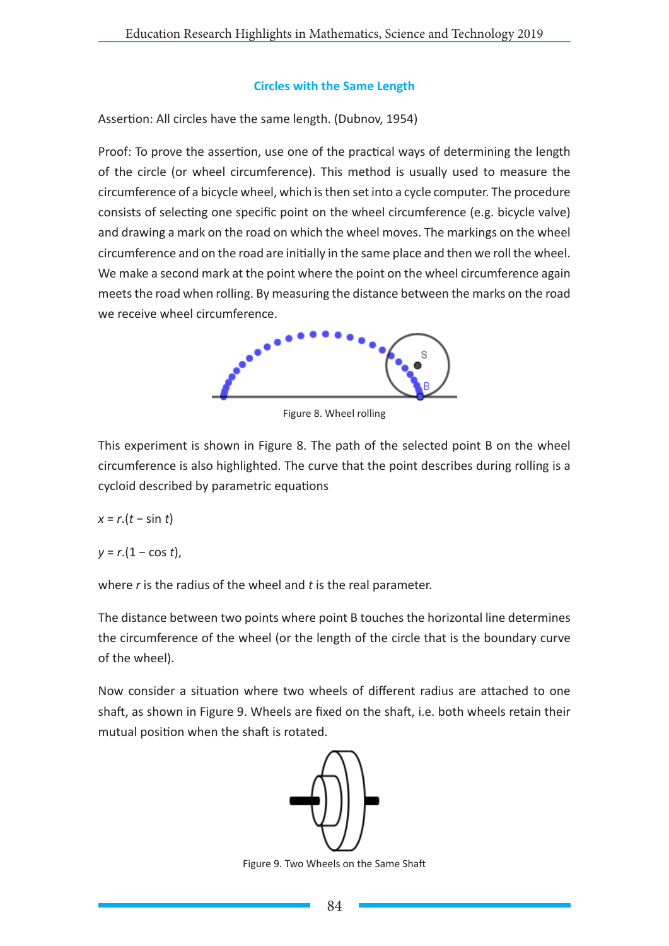# **Circles with the Same Length**

Assertion: All circles have the same length. (Dubnov, 1954)

Proof: To prove the assertion, use one of the practical ways of determining the length of the circle (or wheel circumference). This method is usually used to measure the circumference of a bicycle wheel, which is then set into a cycle computer. The procedure consists of selecting one specific point on the wheel circumference (e.g. bicycle valve) and drawing a mark on the road on which the wheel moves. The markings on the wheel circumference and on the road are initially in the same place and then we roll the wheel. We make a second mark at the point where the point on the wheel circumference again meets the road when rolling. By measuring the distance between the marks on the road we receive wheel circumference.



Figure 8. Wheel rolling

This experiment is shown in Figure 8. The path of the selected point B on the wheel circumference is also highlighted. The curve that the point describes during rolling is a cycloid described by parametric equations

*x* = *r*.(*t* − sin *t*)

*y* = *r*.(1 − cos *t*),

where *r* is the radius of the wheel and *t* is the real parameter.

The distance between two points where point B touches the horizontal line determines the circumference of the wheel (or the length of the circle that is the boundary curve of the wheel).

Now consider a situation where two wheels of different radius are attached to one shaft, as shown in Figure 9. Wheels are fixed on the shaft, i.e. both wheels retain their mutual position when the shaft is rotated.



Figure 9. Two Wheels on the Same Shaft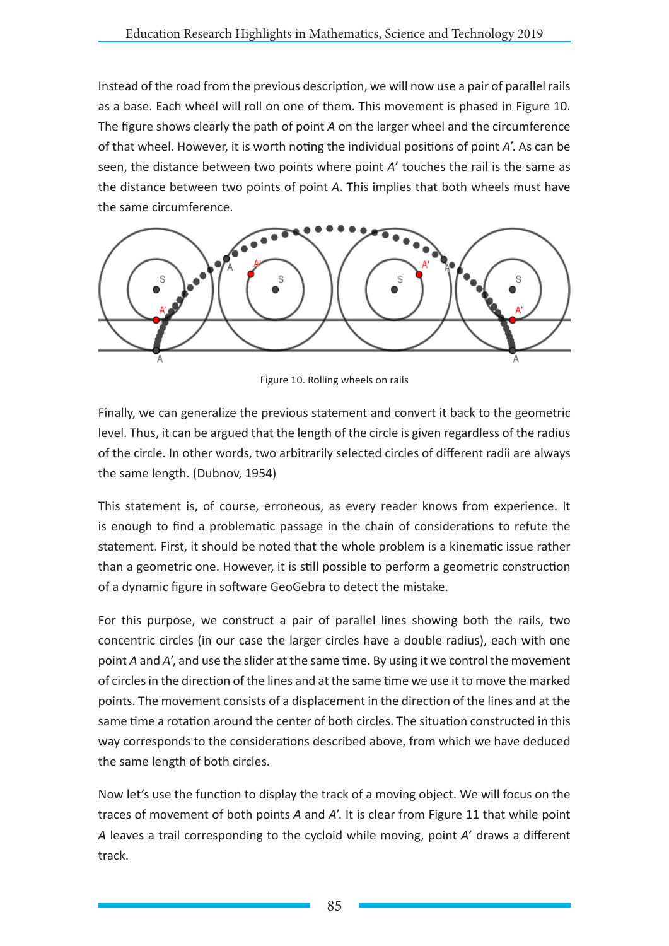Instead of the road from the previous description, we will now use a pair of parallel rails as a base. Each wheel will roll on one of them. This movement is phased in Figure 10. The figure shows clearly the path of point *A* on the larger wheel and the circumference of that wheel. However, it is worth noting the individual positions of point *A*'. As can be seen, the distance between two points where point *A*' touches the rail is the same as the distance between two points of point *A*. This implies that both wheels must have the same circumference.



Figure 10. Rolling wheels on rails

Finally, we can generalize the previous statement and convert it back to the geometric level. Thus, it can be argued that the length of the circle is given regardless of the radius of the circle. In other words, two arbitrarily selected circles of different radii are always the same length. (Dubnov, 1954)

This statement is, of course, erroneous, as every reader knows from experience. It is enough to find a problematic passage in the chain of considerations to refute the statement. First, it should be noted that the whole problem is a kinematic issue rather than a geometric one. However, it is still possible to perform a geometric construction of a dynamic figure in software GeoGebra to detect the mistake.

For this purpose, we construct a pair of parallel lines showing both the rails, two concentric circles (in our case the larger circles have a double radius), each with one point *A* and *A*', and use the slider at the same time. By using it we control the movement of circles in the direction of the lines and at the same time we use it to move the marked points. The movement consists of a displacement in the direction of the lines and at the same time a rotation around the center of both circles. The situation constructed in this way corresponds to the considerations described above, from which we have deduced the same length of both circles.

Now let's use the function to display the track of a moving object. We will focus on the traces of movement of both points *A* and *A*'. It is clear from Figure 11 that while point *A* leaves a trail corresponding to the cycloid while moving, point *A*' draws a different track.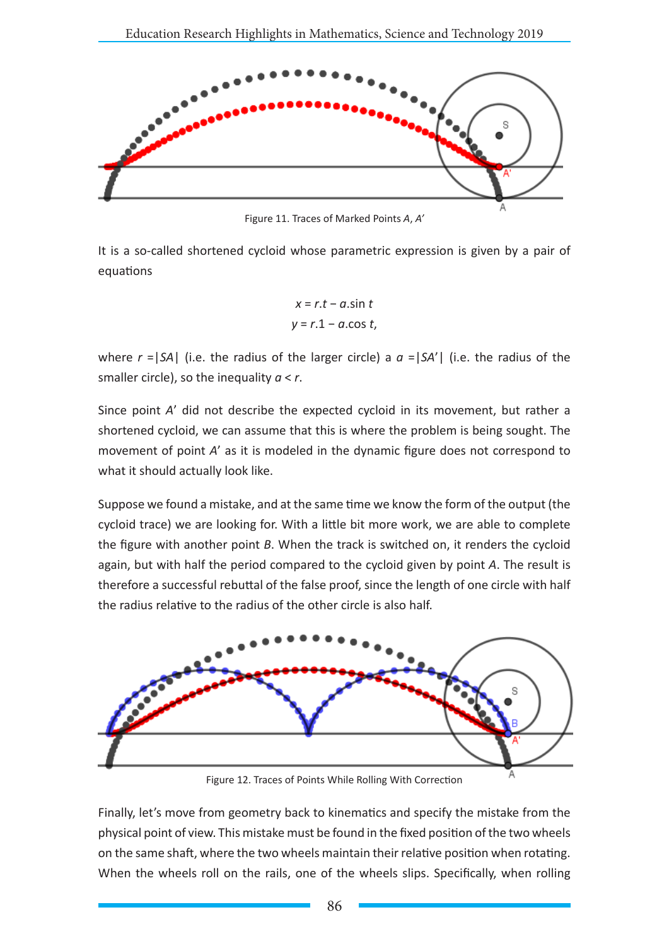

Figure 11. Traces of Marked Points *A*, *A'*

It is a so-called shortened cycloid whose parametric expression is given by a pair of equations

$$
x = r \cdot t - a \cdot \sin t
$$
  

$$
y = r \cdot 1 - a \cdot \cos t,
$$

where  $r = |SA|$  (i.e. the radius of the larger circle) a  $a = |SA'|$  (i.e. the radius of the smaller circle), so the inequality *a* < *r*.

Since point *A*' did not describe the expected cycloid in its movement, but rather a shortened cycloid, we can assume that this is where the problem is being sought. The movement of point *A*' as it is modeled in the dynamic figure does not correspond to what it should actually look like.

Suppose we found a mistake, and at the same time we know the form of the output (the cycloid trace) we are looking for. With a little bit more work, we are able to complete the figure with another point *B*. When the track is switched on, it renders the cycloid again, but with half the period compared to the cycloid given by point *A*. The result is therefore a successful rebuttal of the false proof, since the length of one circle with half the radius relative to the radius of the other circle is also half.



Figure 12. Traces of Points While Rolling With Correction

Finally, let's move from geometry back to kinematics and specify the mistake from the physical point of view. This mistake must be found in the fixed position of the two wheels on the same shaft, where the two wheels maintain their relative position when rotating. When the wheels roll on the rails, one of the wheels slips. Specifically, when rolling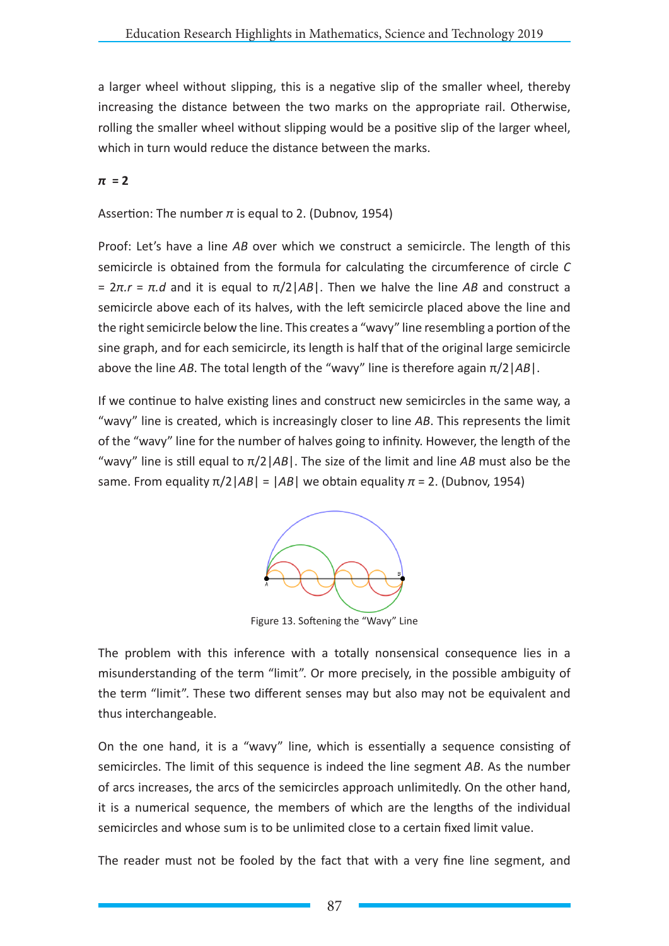a larger wheel without slipping, this is a negative slip of the smaller wheel, thereby increasing the distance between the two marks on the appropriate rail. Otherwise, rolling the smaller wheel without slipping would be a positive slip of the larger wheel, which in turn would reduce the distance between the marks.

# *π* **= 2**

# Assertion: The number  $\pi$  is equal to 2. (Dubnov, 1954)

Proof: Let's have a line *AB* over which we construct a semicircle. The length of this semicircle is obtained from the formula for calculating the circumference of circle *C* = 2*π.r* = *π.d* and it is equal to π/2|*AB*|. Then we halve the line *AB* and construct a semicircle above each of its halves, with the left semicircle placed above the line and the right semicircle below the line. This creates a "wavy" line resembling a portion of the sine graph, and for each semicircle, its length is half that of the original large semicircle above the line *AB*. The total length of the "wavy" line is therefore again π/2|*AB*|.

If we continue to halve existing lines and construct new semicircles in the same way, a "wavy" line is created, which is increasingly closer to line *AB*. This represents the limit of the "wavy" line for the number of halves going to infinity. However, the length of the "wavy" line is still equal to π/2|*AB*|. The size of the limit and line *AB* must also be the same. From equality  $π/2|AB| = |AB|$  we obtain equality  $π = 2$ . (Dubnov, 1954)



Figure 13. Softening the "Wavy" Line

The problem with this inference with a totally nonsensical consequence lies in a misunderstanding of the term "limit". Or more precisely, in the possible ambiguity of the term "limit". These two different senses may but also may not be equivalent and thus interchangeable.

On the one hand, it is a "wavy" line, which is essentially a sequence consisting of semicircles. The limit of this sequence is indeed the line segment *AB*. As the number of arcs increases, the arcs of the semicircles approach unlimitedly. On the other hand, it is a numerical sequence, the members of which are the lengths of the individual semicircles and whose sum is to be unlimited close to a certain fixed limit value.

The reader must not be fooled by the fact that with a very fine line segment, and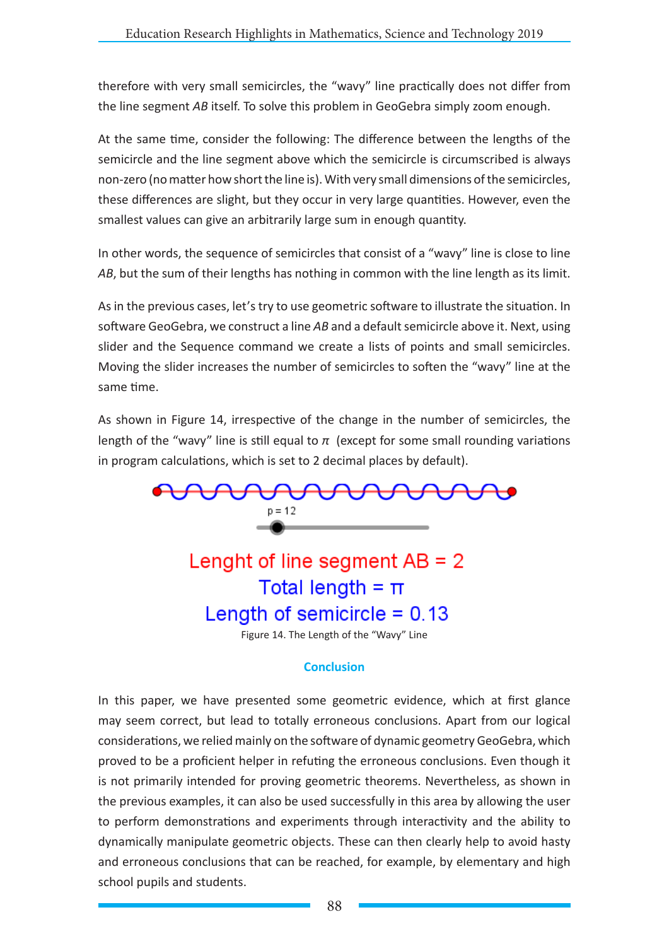therefore with very small semicircles, the "wavy" line practically does not differ from the line segment *AB* itself. To solve this problem in GeoGebra simply zoom enough.

At the same time, consider the following: The difference between the lengths of the semicircle and the line segment above which the semicircle is circumscribed is always non-zero (no matter how short the line is). With very small dimensions of the semicircles, these differences are slight, but they occur in very large quantities. However, even the smallest values can give an arbitrarily large sum in enough quantity.

In other words, the sequence of semicircles that consist of a "wavy" line is close to line *AB*, but the sum of their lengths has nothing in common with the line length as its limit.

As in the previous cases, let's try to use geometric software to illustrate the situation. In software GeoGebra, we construct a line *AB* and a default semicircle above it. Next, using slider and the Sequence command we create a lists of points and small semicircles. Moving the slider increases the number of semicircles to soften the "wavy" line at the same time.

As shown in Figure 14, irrespective of the change in the number of semicircles, the length of the "wavy" line is still equal to  $\pi$  (except for some small rounding variations in program calculations, which is set to 2 decimal places by default).



#### **Conclusion**

In this paper, we have presented some geometric evidence, which at first glance may seem correct, but lead to totally erroneous conclusions. Apart from our logical considerations, we relied mainly on the software of dynamic geometry GeoGebra, which proved to be a proficient helper in refuting the erroneous conclusions. Even though it is not primarily intended for proving geometric theorems. Nevertheless, as shown in the previous examples, it can also be used successfully in this area by allowing the user to perform demonstrations and experiments through interactivity and the ability to dynamically manipulate geometric objects. These can then clearly help to avoid hasty and erroneous conclusions that can be reached, for example, by elementary and high school pupils and students.